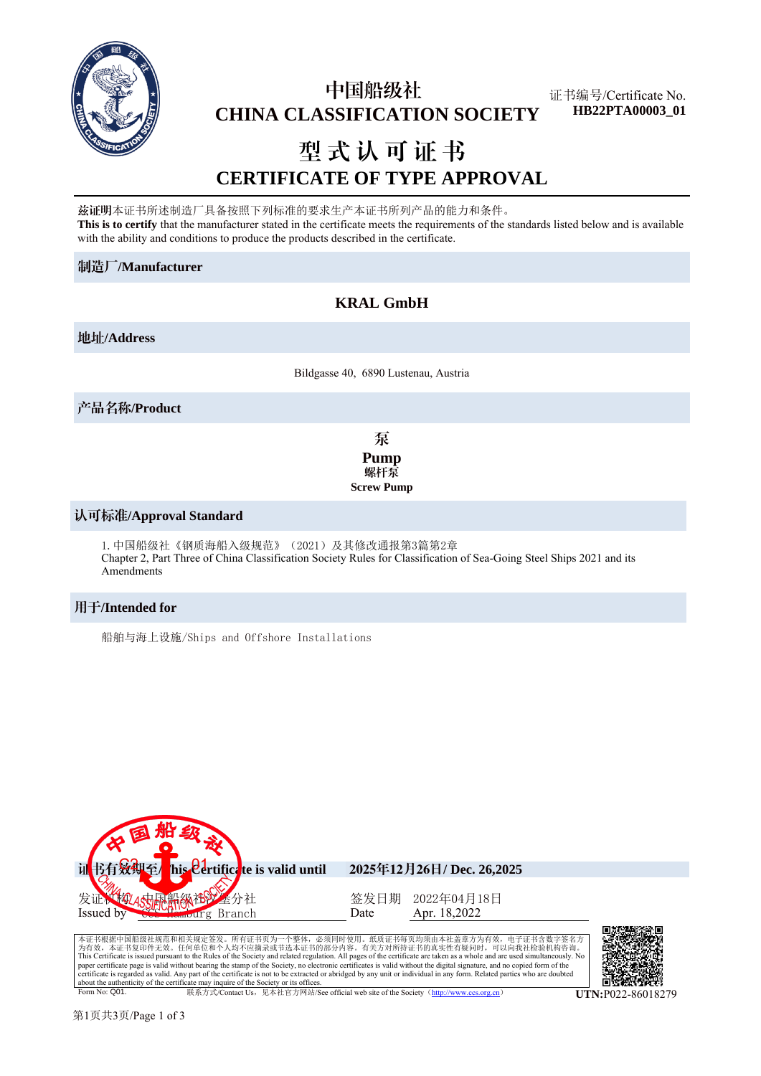

## 中国船级社  **CHINA CLASSIFICATION SOCIETY**

证书编号/Certificate No. **HB22PTA00003\_01**

# 型式认可证书 **CERTIFICATE OF TYPE APPROVAL**

兹证明本证书所述制造厂具备按照下列标准的要求生产本证书所列产品的能力和条件。 **This is to certify** that the manufacturer stated in the certificate meets the requirements of the standards listed below and is available with the ability and conditions to produce the products described in the certificate.

#### 制造厂**/Manufacturer**

## **KRAL GmbH**

地址**/Address**

Bildgasse 40, 6890 Lustenau, Austria

产品名称**/Product**

泵 **Pump** 螺杆泵 **Screw Pump**

#### 认可标准**/Approval Standard**

```
1.中国船级社《钢质海船入级规范》(2021)及其修改通报第3篇第2章
Chapter 2, Part Three of China Classification Society Rules for Classification of Sea-Going Steel Ships 2021 and its 
Amendments
```
#### 用于**/Intended for**

船舶与海上设施/Ships and Offshore Installations



本证书根据中国船级社规范和相关规定签发。所有证书页为一个整体,必须同时使用。纸质证书每页均须由本社盖章方为有效,电子证书含数字签名方<br>为有效,本证书复印件无效。任何单位和个人均不应摘录或节选本证书的部分内容。有关方对所持证书的真实性有疑问时,可以向我社检验机构咨询。 This Certificate is issued pursuant to the Rules of the Society and related regulation. All pages of the certificate are taken as a whole and are used simultaneously. No<br>paper certificate page is valid without bearing the certificate is regarded as valid. Any part of the certificate is not to be extracted or abridged by any unit or individual in any form. Related parties who are doubted about the authenticity of the certificate may inquire of the Society or its offices.<br>
Form No: O01 Form No: Q01. 联系方式/Contact Us,见本社官方网站/See official web site of the Society(http://www.ccs.org.cn) **UTN:**P022-86018279

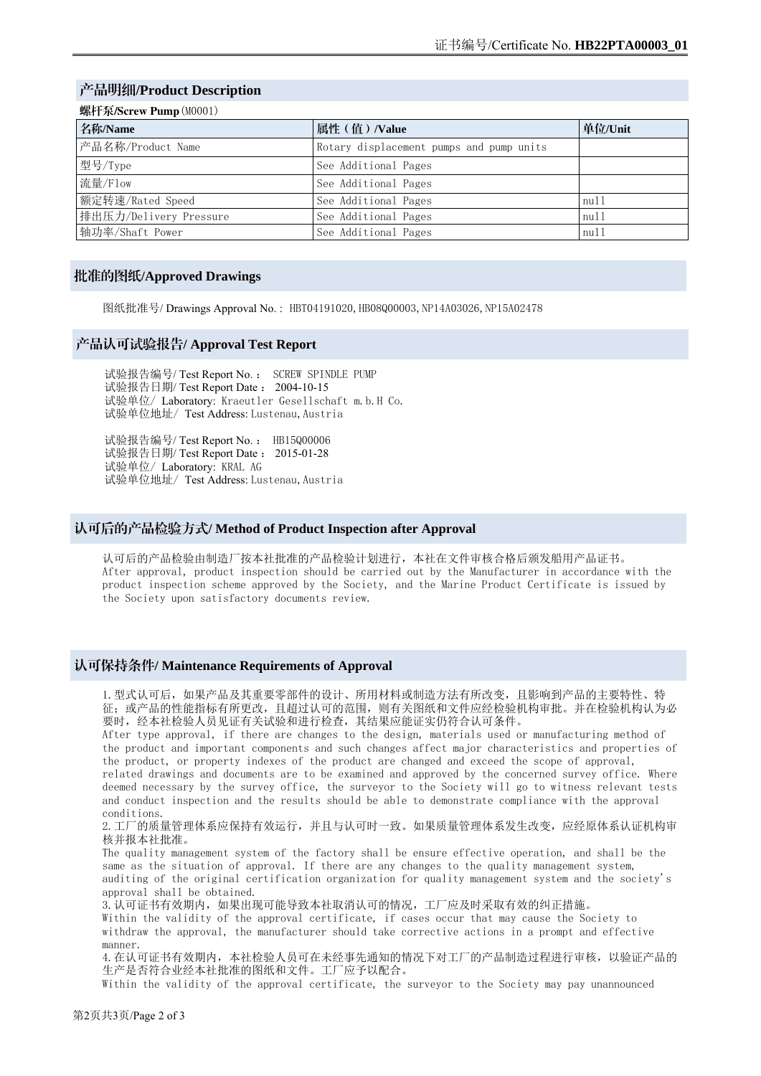## 产品明细**/Product Description**

| 名称/Name                | 属性 (值) /Value                            | 单位/Unit |
|------------------------|------------------------------------------|---------|
| 产品名称/Product Name      | Rotary displacement pumps and pump units |         |
| 型号/Type                | See Additional Pages                     |         |
| 流量/Flow                | See Additional Pages                     |         |
| 额定转速/Rated Speed       | See Additional Pages                     | m11     |
| 排出压力/Delivery Pressure | See Additional Pages                     | m11     |
| 轴功率/Shaft Power        | See Additional Pages                     | null    |

#### 批准的图纸**/Approved Drawings**

图纸批准号/ Drawings Approval No.: HBT04191020, HB08Q00003, NP14A03026, NP15A02478

#### 产品认可试验报告**/ Approval Test Report**

试验报告编号/ Test Report No. : SCREW SPINDLE PUMP 试验报告日期/ Test Report Date : 2004-10-15 试验单位/ Laboratory: Kraeutler Gesellschaft m.b.H Co. 试验单位地址/ Test Address: Lustenau,Austria

试验报告编号/ Test Report No. : HB15Q00006 试验报告日期/ Test Report Date : 2015-01-28 试验单位/ Laboratory: KRAL AG 试验单位地址/ Test Address: Lustenau,Austria

## 认可后的产品检验方式**/ Method of Product Inspection after Approval**

认可后的产品检验由制造厂按本社批准的产品检验计划进行,本社在文件审核合格后颁发船用产品证书。 After approval, product inspection should be carried out by the Manufacturer in accordance with the product inspection scheme approved by the Society, and the Marine Product Certificate is issued by the Society upon satisfactory documents review.

#### 认可保持条件**/ Maintenance Requirements of Approval**

1.型式认可后,如果产品及其重要零部件的设计、所用材料或制造方法有所改变,且影响到产品的主要特性、特 征;或产品的性能指标有所更改,且超过认可的范围,则有关图纸和文件应经检验机构审批。并在检验机构认为必 要时,经本社检验人员见证有关试验和进行检查,其结果应能证实仍符合认可条件。

After type approval, if there are changes to the design, materials used or manufacturing method of the product and important components and such changes affect major characteristics and properties of the product, or property indexes of the product are changed and exceed the scope of approval, related drawings and documents are to be examined and approved by the concerned survey office. Where deemed necessary by the survey office, the surveyor to the Society will go to witness relevant tests and conduct inspection and the results should be able to demonstrate compliance with the approval conditions.

2.工厂的质量管理体系应保持有效运行,并且与认可时一致。如果质量管理体系发生改变,应经原体系认证机构审 核并报本社批准。

The quality management system of the factory shall be ensure effective operation, and shall be the same as the situation of approval. If there are any changes to the quality management system, auditing of the original certification organization for quality management system and the society's approval shall be obtained.

3. 认可证书有效期内,如果出现可能导致本社取消认可的情况,工厂应及时采取有效的纠正措施。

Within the validity of the approval certificate, if cases occur that may cause the Society to withdraw the approval, the manufacturer should take corrective actions in a prompt and effective manner.

4.在认可证书有效期内,本社检验人员可在未经事先通知的情况下对工厂的产品制造过程进行审核,以验证产品的 生产是否符合业经本社批准的图纸和文件。工厂应予以配合。

Within the validity of the approval certificate, the surveyor to the Society may pay unannounced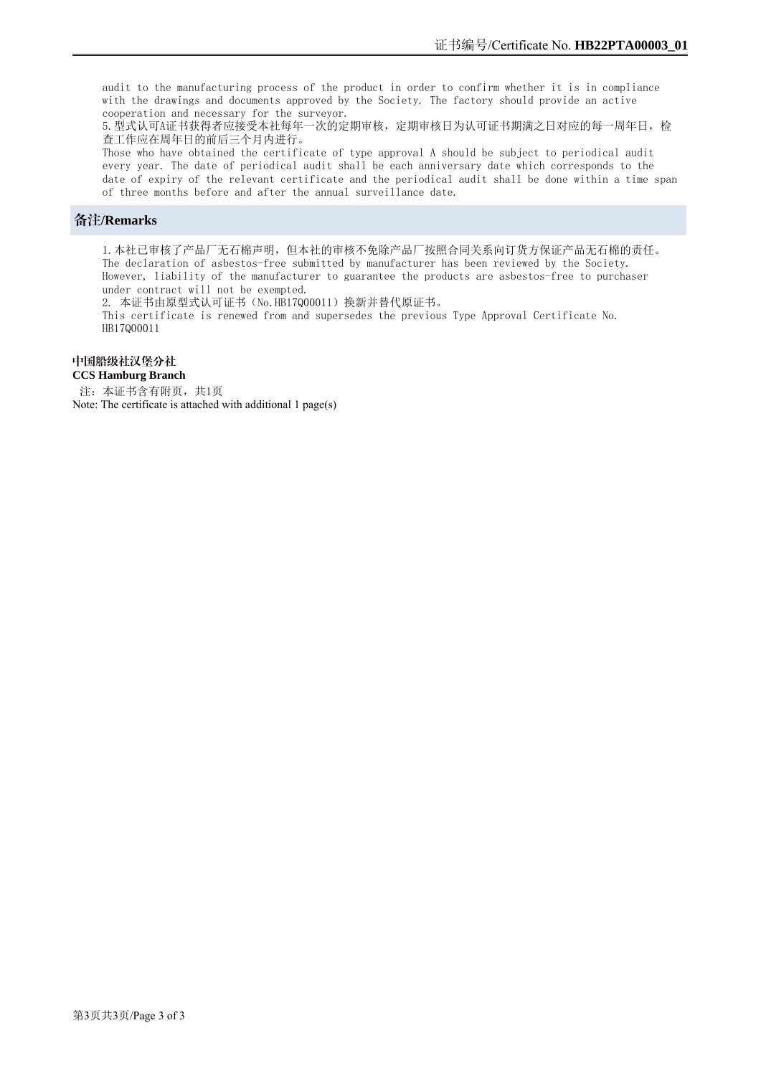audit to the manufacturing process of the product in order to confirm whether it is in compliance with the drawings and documents approved by the Society. The factory should provide an active cooperation and necessary for the surveyor.

5.型式认可A证书获得者应接受本社每年一次的定期审核,定期审核日为认可证书期满之日对应的每一周年日,检 查工作应在周年日的前后三个月内进行。

Those who have obtained the certificate of type approval A should be subject to periodical audit every year. The date of periodical audit shall be each anniversary date which corresponds to the date of expiry of the relevant certificate and the periodical audit shall be done within a time span of three months before and after the annual surveillance date.

#### 备注**/Remarks**

1.本社已审核了产品厂无石棉声明,但本社的审核不免除产品厂按照合同关系向订货方保证产品无石棉的责任。 The declaration of asbestos-free submitted by manufacturer has been reviewed by the Society. However, liability of the manufacturer to guarantee the products are asbestos-free to purchaser under contract will not be exempted.

2. 本证书由原型式认可证书(No.HB17Q00011)换新并替代原证书。

This certificate is renewed from and supersedes the previous Type Approval Certificate No. HB17Q00011

#### 中国船级社汉堡分社

#### **CCS Hamburg Branch**

注: 本证书含有附页, 共1页 Note: The certificate is attached with additional 1 page(s)